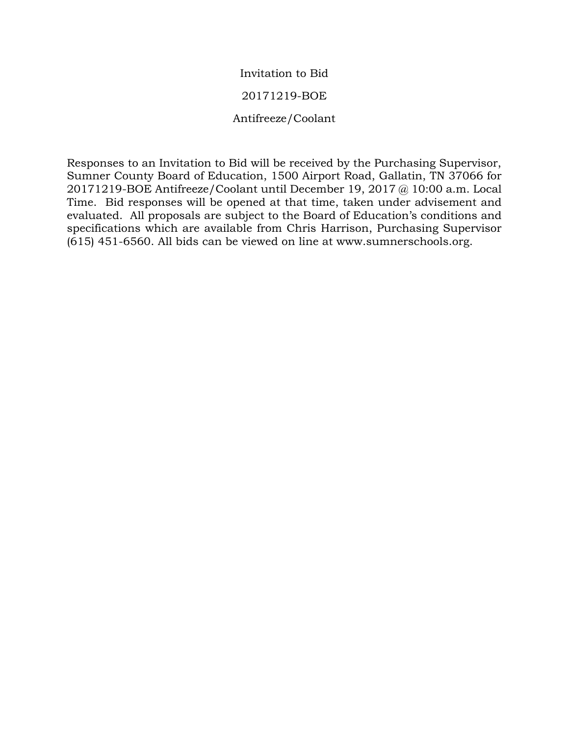# Invitation to Bid

## 20171219-BOE

## Antifreeze/Coolant

Responses to an Invitation to Bid will be received by the Purchasing Supervisor, Sumner County Board of Education, 1500 Airport Road, Gallatin, TN 37066 for 20171219-BOE Antifreeze/Coolant until December 19, 2017 @ 10:00 a.m. Local Time. Bid responses will be opened at that time, taken under advisement and evaluated. All proposals are subject to the Board of Education's conditions and specifications which are available from Chris Harrison, Purchasing Supervisor (615) 451-6560. All bids can be viewed on line at www.sumnerschools.org.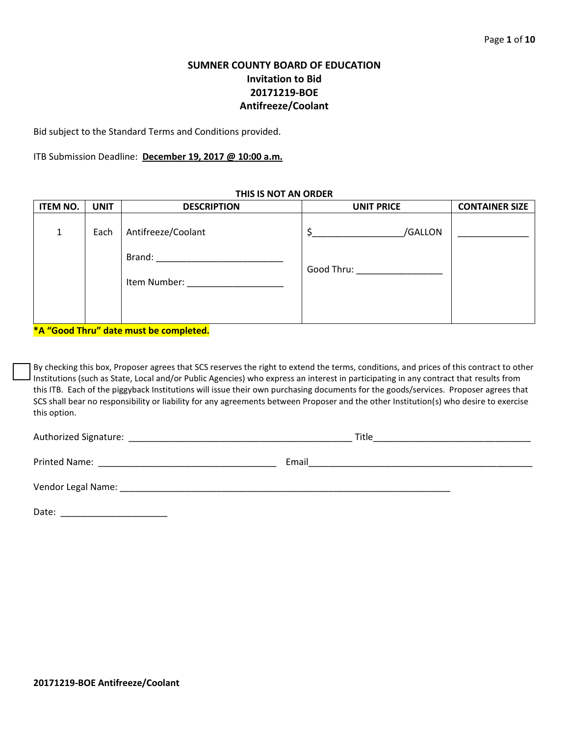# **SUMNER COUNTY BOARD OF EDUCATION Invitation to Bid 20171219-BOE Antifreeze/Coolant**

Bid subject to the Standard Terms and Conditions provided.

ITB Submission Deadline: **December 19, 2017 @ 10:00 a.m.**

| <b>ITEM NO.</b> | <b>UNIT</b> | <b>DESCRIPTION</b>                                                            | <b>UNIT PRICE</b>             | <b>CONTAINER SIZE</b> |
|-----------------|-------------|-------------------------------------------------------------------------------|-------------------------------|-----------------------|
| 1               | Each        | Antifreeze/Coolant                                                            | /GALLON                       |                       |
|                 |             | Brand:<br>the contract of the contract of the contract of the<br>Item Number: | Good Thru: __________________ |                       |

**THIS IS NOT AN ORDER**

**\*A "Good Thru" date must be completed.**

By checking this box, Proposer agrees that SCS reserves the right to extend the terms, conditions, and prices of this contract to other Institutions (such as State, Local and/or Public Agencies) who express an interest in participating in any contract that results from this ITB. Each of the piggyback Institutions will issue their own purchasing documents for the goods/services. Proposer agrees that SCS shall bear no responsibility or liability for any agreements between Proposer and the other Institution(s) who desire to exercise this option.

Authorized Signature: \_\_\_\_\_\_\_\_\_\_\_\_\_\_\_\_\_\_\_\_\_\_\_\_\_\_\_\_\_\_\_\_\_\_\_\_\_\_\_\_\_\_\_\_ Title\_\_\_\_\_\_\_\_\_\_\_\_\_\_\_\_\_\_\_\_\_\_\_\_\_\_\_\_\_\_\_ Printed Name: The contract of the contract of the contract of the contract of the contract of the contract of the contract of the contract of the contract of the contract of the contract of the contract of the contract of Vendor Legal Name: \_\_\_\_\_\_\_\_\_\_\_\_\_\_\_\_\_\_\_\_\_\_\_\_\_\_\_\_\_\_\_\_\_\_\_\_\_\_\_\_\_\_\_\_\_\_\_\_\_\_\_\_\_\_\_\_\_\_\_\_\_\_\_\_\_ Date: \_\_\_\_\_\_\_\_\_\_\_\_\_\_\_\_\_\_\_\_\_

**20171219-BOE Antifreeze/Coolant**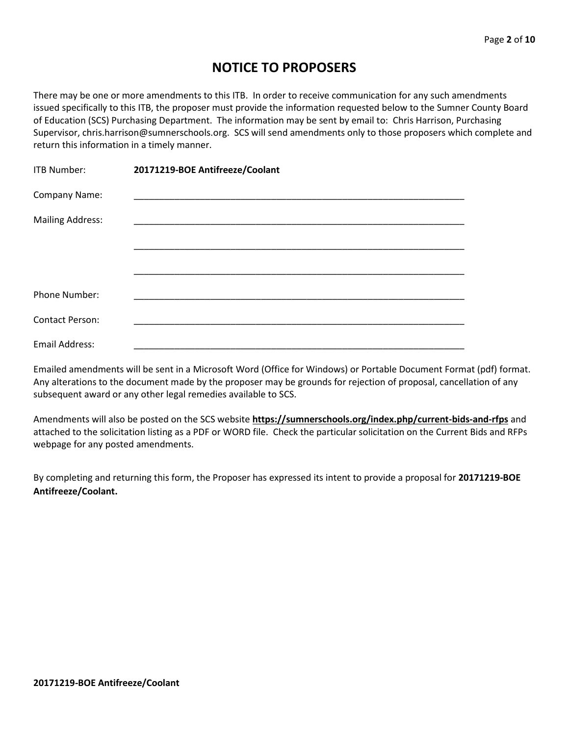# **NOTICE TO PROPOSERS**

There may be one or more amendments to this ITB. In order to receive communication for any such amendments issued specifically to this ITB, the proposer must provide the information requested below to the Sumner County Board of Education (SCS) Purchasing Department. The information may be sent by email to: Chris Harrison, Purchasing Supervisor, chris.harrison@sumnerschools.org. SCS will send amendments only to those proposers which complete and return this information in a timely manner.

| <b>ITB Number:</b>      | 20171219-BOE Antifreeze/Coolant |
|-------------------------|---------------------------------|
| Company Name:           |                                 |
| <b>Mailing Address:</b> |                                 |
|                         |                                 |
|                         |                                 |
| Phone Number:           |                                 |
| <b>Contact Person:</b>  |                                 |
| Email Address:          |                                 |

Emailed amendments will be sent in a Microsoft Word (Office for Windows) or Portable Document Format (pdf) format. Any alterations to the document made by the proposer may be grounds for rejection of proposal, cancellation of any subsequent award or any other legal remedies available to SCS.

Amendments will also be posted on the SCS website **https://sumnerschools.org/index.php/current-bids-and-rfps** and attached to the solicitation listing as a PDF or WORD file. Check the particular solicitation on the Current Bids and RFPs webpage for any posted amendments.

By completing and returning this form, the Proposer has expressed its intent to provide a proposal for **20171219-BOE Antifreeze/Coolant.**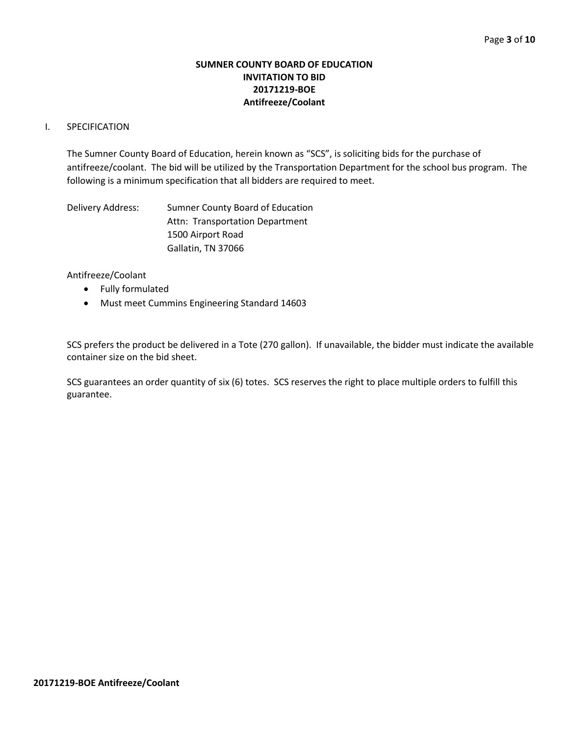## **SUMNER COUNTY BOARD OF EDUCATION INVITATION TO BID 20171219-BOE Antifreeze/Coolant**

## I. SPECIFICATION

The Sumner County Board of Education, herein known as "SCS", is soliciting bids for the purchase of antifreeze/coolant. The bid will be utilized by the Transportation Department for the school bus program. The following is a minimum specification that all bidders are required to meet.

Delivery Address: Sumner County Board of Education Attn: Transportation Department 1500 Airport Road Gallatin, TN 37066

Antifreeze/Coolant

- Fully formulated
- Must meet Cummins Engineering Standard 14603

SCS prefers the product be delivered in a Tote (270 gallon). If unavailable, the bidder must indicate the available container size on the bid sheet.

SCS guarantees an order quantity of six (6) totes. SCS reserves the right to place multiple orders to fulfill this guarantee.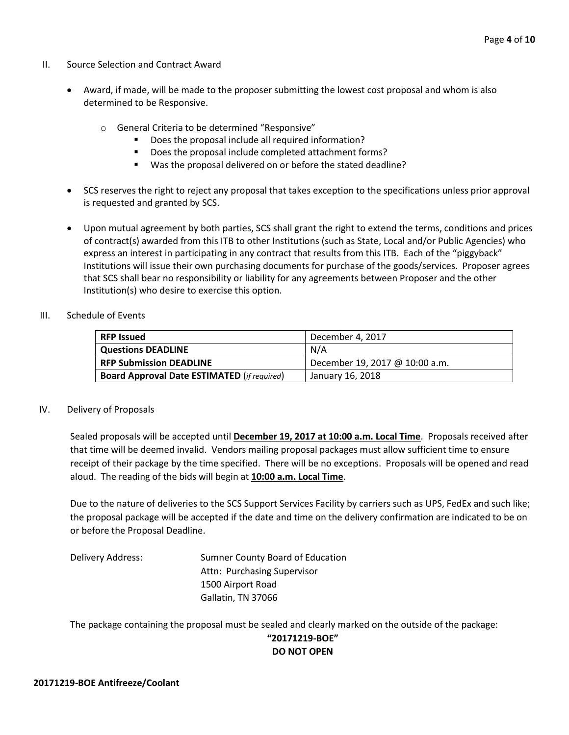- II. Source Selection and Contract Award
	- Award, if made, will be made to the proposer submitting the lowest cost proposal and whom is also determined to be Responsive.
		- o General Criteria to be determined "Responsive"
			- Does the proposal include all required information?
			- Does the proposal include completed attachment forms?
			- Was the proposal delivered on or before the stated deadline?
	- SCS reserves the right to reject any proposal that takes exception to the specifications unless prior approval is requested and granted by SCS.
	- Upon mutual agreement by both parties, SCS shall grant the right to extend the terms, conditions and prices of contract(s) awarded from this ITB to other Institutions (such as State, Local and/or Public Agencies) who express an interest in participating in any contract that results from this ITB. Each of the "piggyback" Institutions will issue their own purchasing documents for purchase of the goods/services. Proposer agrees that SCS shall bear no responsibility or liability for any agreements between Proposer and the other Institution(s) who desire to exercise this option.
- III. Schedule of Events

| l RFP Issued                                       | December 4, 2017               |  |  |  |  |
|----------------------------------------------------|--------------------------------|--|--|--|--|
| Questions DEADLINE                                 | N/A                            |  |  |  |  |
| <b>RFP Submission DEADLINE</b>                     | December 19, 2017 @ 10:00 a.m. |  |  |  |  |
| <b>Board Approval Date ESTIMATED (if required)</b> | January 16, 2018               |  |  |  |  |

## IV. Delivery of Proposals

Sealed proposals will be accepted until **December 19, 2017 at 10:00 a.m. Local Time**. Proposals received after that time will be deemed invalid. Vendors mailing proposal packages must allow sufficient time to ensure receipt of their package by the time specified. There will be no exceptions. Proposals will be opened and read aloud. The reading of the bids will begin at **10:00 a.m. Local Time**.

Due to the nature of deliveries to the SCS Support Services Facility by carriers such as UPS, FedEx and such like; the proposal package will be accepted if the date and time on the delivery confirmation are indicated to be on or before the Proposal Deadline.

Delivery Address: Sumner County Board of Education Attn: Purchasing Supervisor 1500 Airport Road Gallatin, TN 37066

The package containing the proposal must be sealed and clearly marked on the outside of the package:

## **"20171219-BOE" DO NOT OPEN**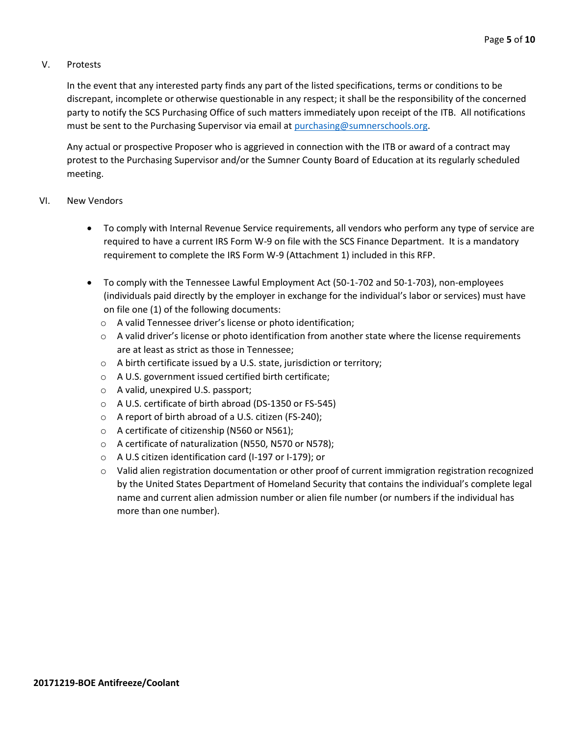## V. Protests

In the event that any interested party finds any part of the listed specifications, terms or conditions to be discrepant, incomplete or otherwise questionable in any respect; it shall be the responsibility of the concerned party to notify the SCS Purchasing Office of such matters immediately upon receipt of the ITB. All notifications must be sent to the Purchasing Supervisor via email at [purchasing@sumnerschools.org.](mailto:purchasing@sumnerschools.org)

Any actual or prospective Proposer who is aggrieved in connection with the ITB or award of a contract may protest to the Purchasing Supervisor and/or the Sumner County Board of Education at its regularly scheduled meeting.

#### VI. New Vendors

- To comply with Internal Revenue Service requirements, all vendors who perform any type of service are required to have a current IRS Form W-9 on file with the SCS Finance Department. It is a mandatory requirement to complete the IRS Form W-9 (Attachment 1) included in this RFP.
- To comply with the Tennessee Lawful Employment Act (50-1-702 and 50-1-703), non-employees (individuals paid directly by the employer in exchange for the individual's labor or services) must have on file one (1) of the following documents:
	- o A valid Tennessee driver's license or photo identification;
	- $\circ$  A valid driver's license or photo identification from another state where the license requirements are at least as strict as those in Tennessee;
	- o A birth certificate issued by a U.S. state, jurisdiction or territory;
	- o A U.S. government issued certified birth certificate;
	- o A valid, unexpired U.S. passport;
	- o A U.S. certificate of birth abroad (DS-1350 or FS-545)
	- o A report of birth abroad of a U.S. citizen (FS-240);
	- o A certificate of citizenship (N560 or N561);
	- o A certificate of naturalization (N550, N570 or N578);
	- o A U.S citizen identification card (I-197 or I-179); or
	- $\circ$  Valid alien registration documentation or other proof of current immigration registration recognized by the United States Department of Homeland Security that contains the individual's complete legal name and current alien admission number or alien file number (or numbers if the individual has more than one number).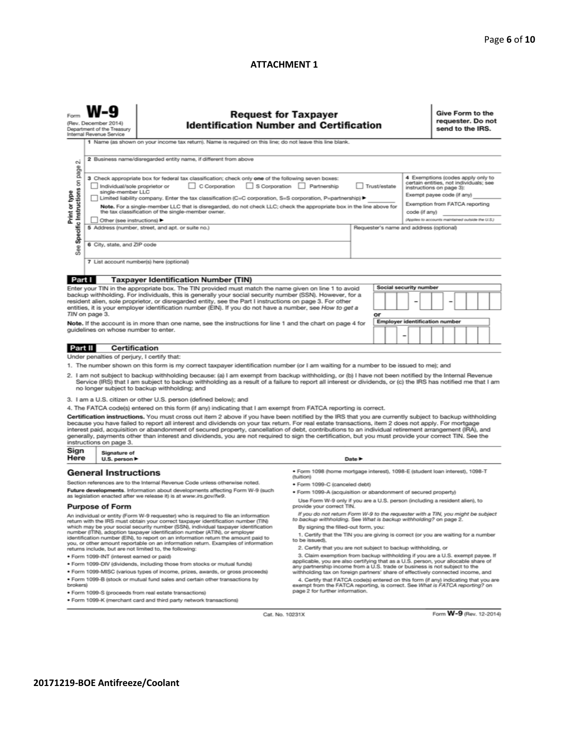#### **ATTACHMENT 1**

| (Rev. December 2014)<br>Department of the Treasury<br>Internal Revenue Service                                                                                                                                                                                                                                                                                      |                                                                                                                                                                                                                                                                                                                                                                                                                                                                                                                                                                 | <b>Request for Taxpayer</b><br><b>Identification Number and Certification</b>                                                                                                                                                                                                                                                                                                                                                                                                                                                                                                                                                 |                                                                                                                                                                                              |  |    |                        |                                                                                                                                                                                                                              | Give Form to the<br>requester. Do not<br>send to the IRS. |  |  |  |  |
|---------------------------------------------------------------------------------------------------------------------------------------------------------------------------------------------------------------------------------------------------------------------------------------------------------------------------------------------------------------------|-----------------------------------------------------------------------------------------------------------------------------------------------------------------------------------------------------------------------------------------------------------------------------------------------------------------------------------------------------------------------------------------------------------------------------------------------------------------------------------------------------------------------------------------------------------------|-------------------------------------------------------------------------------------------------------------------------------------------------------------------------------------------------------------------------------------------------------------------------------------------------------------------------------------------------------------------------------------------------------------------------------------------------------------------------------------------------------------------------------------------------------------------------------------------------------------------------------|----------------------------------------------------------------------------------------------------------------------------------------------------------------------------------------------|--|----|------------------------|------------------------------------------------------------------------------------------------------------------------------------------------------------------------------------------------------------------------------|-----------------------------------------------------------|--|--|--|--|
| οi                                                                                                                                                                                                                                                                                                                                                                  |                                                                                                                                                                                                                                                                                                                                                                                                                                                                                                                                                                 | 1 Name (as shown on your income tax return). Name is required on this line; do not leave this line blank.<br>2 Business name/disregarded entity name, if different from above                                                                                                                                                                                                                                                                                                                                                                                                                                                 |                                                                                                                                                                                              |  |    |                        |                                                                                                                                                                                                                              |                                                           |  |  |  |  |
| page<br>S<br>Specific Instructions<br>Print or type                                                                                                                                                                                                                                                                                                                 | 3 Check appropriate box for federal tax classification; check only one of the following seven boxes:<br>C Corporation S Corporation Partnership<br>Trust/estate<br>Individual/sole proprietor or<br>single-member LLC<br>Limited liability company. Enter the tax classification (C=C corporation, S=S corporation, P=partnership) ▶<br>Note. For a single-member LLC that is disregarded, do not check LLC; check the appropriate box in the line above for<br>the tax classification of the single-member owner.<br>code (if any)<br>Other (see instructions) |                                                                                                                                                                                                                                                                                                                                                                                                                                                                                                                                                                                                                               |                                                                                                                                                                                              |  |    |                        | 4 Exemptions (codes apply only to<br>certain entities, not individuals; see<br>instructions on page 3):<br>Exempt payee code (if any)<br>Exemption from FATCA reporting<br>(Applies to accounts maintained outside the U.S.) |                                                           |  |  |  |  |
| See                                                                                                                                                                                                                                                                                                                                                                 | 5 Address (number, street, and apt. or suite no.)<br>Requester's name and address (optional)<br>6 City, state, and ZIP code                                                                                                                                                                                                                                                                                                                                                                                                                                     |                                                                                                                                                                                                                                                                                                                                                                                                                                                                                                                                                                                                                               |                                                                                                                                                                                              |  |    |                        |                                                                                                                                                                                                                              |                                                           |  |  |  |  |
|                                                                                                                                                                                                                                                                                                                                                                     | 7 List account number(s) here (optional)                                                                                                                                                                                                                                                                                                                                                                                                                                                                                                                        |                                                                                                                                                                                                                                                                                                                                                                                                                                                                                                                                                                                                                               |                                                                                                                                                                                              |  |    |                        |                                                                                                                                                                                                                              |                                                           |  |  |  |  |
| Part I                                                                                                                                                                                                                                                                                                                                                              |                                                                                                                                                                                                                                                                                                                                                                                                                                                                                                                                                                 | <b>Taxpayer Identification Number (TIN)</b>                                                                                                                                                                                                                                                                                                                                                                                                                                                                                                                                                                                   |                                                                                                                                                                                              |  |    |                        |                                                                                                                                                                                                                              |                                                           |  |  |  |  |
|                                                                                                                                                                                                                                                                                                                                                                     |                                                                                                                                                                                                                                                                                                                                                                                                                                                                                                                                                                 | Enter your TIN in the appropriate box. The TIN provided must match the name given on line 1 to avoid                                                                                                                                                                                                                                                                                                                                                                                                                                                                                                                          |                                                                                                                                                                                              |  |    | Social security number |                                                                                                                                                                                                                              |                                                           |  |  |  |  |
| backup withholding. For individuals, this is generally your social security number (SSN). However, for a<br>resident alien, sole proprietor, or disregarded entity, see the Part I instructions on page 3. For other<br>entities, it is your employer identification number (EIN). If you do not have a number, see How to get a<br>TIN on page 3.                  |                                                                                                                                                                                                                                                                                                                                                                                                                                                                                                                                                                 |                                                                                                                                                                                                                                                                                                                                                                                                                                                                                                                                                                                                                               |                                                                                                                                                                                              |  |    |                        |                                                                                                                                                                                                                              |                                                           |  |  |  |  |
|                                                                                                                                                                                                                                                                                                                                                                     |                                                                                                                                                                                                                                                                                                                                                                                                                                                                                                                                                                 |                                                                                                                                                                                                                                                                                                                                                                                                                                                                                                                                                                                                                               |                                                                                                                                                                                              |  | or |                        |                                                                                                                                                                                                                              |                                                           |  |  |  |  |
| <b>Employer identification number</b><br>Note. If the account is in more than one name, see the instructions for line 1 and the chart on page 4 for<br>guidelines on whose number to enter.                                                                                                                                                                         |                                                                                                                                                                                                                                                                                                                                                                                                                                                                                                                                                                 |                                                                                                                                                                                                                                                                                                                                                                                                                                                                                                                                                                                                                               |                                                                                                                                                                                              |  |    |                        |                                                                                                                                                                                                                              |                                                           |  |  |  |  |
| Part II                                                                                                                                                                                                                                                                                                                                                             | Certification                                                                                                                                                                                                                                                                                                                                                                                                                                                                                                                                                   |                                                                                                                                                                                                                                                                                                                                                                                                                                                                                                                                                                                                                               |                                                                                                                                                                                              |  |    |                        |                                                                                                                                                                                                                              |                                                           |  |  |  |  |
|                                                                                                                                                                                                                                                                                                                                                                     | Under penalties of perjury, I certify that:                                                                                                                                                                                                                                                                                                                                                                                                                                                                                                                     |                                                                                                                                                                                                                                                                                                                                                                                                                                                                                                                                                                                                                               |                                                                                                                                                                                              |  |    |                        |                                                                                                                                                                                                                              |                                                           |  |  |  |  |
|                                                                                                                                                                                                                                                                                                                                                                     |                                                                                                                                                                                                                                                                                                                                                                                                                                                                                                                                                                 | 1. The number shown on this form is my correct taxpayer identification number (or I am waiting for a number to be issued to me); and                                                                                                                                                                                                                                                                                                                                                                                                                                                                                          |                                                                                                                                                                                              |  |    |                        |                                                                                                                                                                                                                              |                                                           |  |  |  |  |
| 2. I am not subject to backup withholding because: (a) I am exempt from backup withholding, or (b) I have not been notified by the Internal Revenue<br>Service (IRS) that I am subject to backup withholding as a result of a failure to report all interest or dividends, or (c) the IRS has notified me that I am<br>no longer subject to backup withholding; and |                                                                                                                                                                                                                                                                                                                                                                                                                                                                                                                                                                 |                                                                                                                                                                                                                                                                                                                                                                                                                                                                                                                                                                                                                               |                                                                                                                                                                                              |  |    |                        |                                                                                                                                                                                                                              |                                                           |  |  |  |  |
|                                                                                                                                                                                                                                                                                                                                                                     |                                                                                                                                                                                                                                                                                                                                                                                                                                                                                                                                                                 | 3. I am a U.S. citizen or other U.S. person (defined below); and                                                                                                                                                                                                                                                                                                                                                                                                                                                                                                                                                              |                                                                                                                                                                                              |  |    |                        |                                                                                                                                                                                                                              |                                                           |  |  |  |  |
|                                                                                                                                                                                                                                                                                                                                                                     |                                                                                                                                                                                                                                                                                                                                                                                                                                                                                                                                                                 | 4. The FATCA code(s) entered on this form (if any) indicating that I am exempt from FATCA reporting is correct.                                                                                                                                                                                                                                                                                                                                                                                                                                                                                                               |                                                                                                                                                                                              |  |    |                        |                                                                                                                                                                                                                              |                                                           |  |  |  |  |
|                                                                                                                                                                                                                                                                                                                                                                     | instructions on page 3.                                                                                                                                                                                                                                                                                                                                                                                                                                                                                                                                         | Certification instructions. You must cross out item 2 above if you have been notified by the IRS that you are currently subject to backup withholding<br>because you have failed to report all interest and dividends on your tax return. For real estate transactions, item 2 does not apply. For mortgage<br>interest paid, acquisition or abandonment of secured property, cancellation of debt, contributions to an individual retirement arrangement (IRA), and<br>generally, payments other than interest and dividends, you are not required to sign the certification, but you must provide your correct TIN. See the |                                                                                                                                                                                              |  |    |                        |                                                                                                                                                                                                                              |                                                           |  |  |  |  |
| Sign<br>Here                                                                                                                                                                                                                                                                                                                                                        | Signature of<br>U.S. person ▶                                                                                                                                                                                                                                                                                                                                                                                                                                                                                                                                   |                                                                                                                                                                                                                                                                                                                                                                                                                                                                                                                                                                                                                               | Date P                                                                                                                                                                                       |  |    |                        |                                                                                                                                                                                                                              |                                                           |  |  |  |  |
| <b>General Instructions</b>                                                                                                                                                                                                                                                                                                                                         |                                                                                                                                                                                                                                                                                                                                                                                                                                                                                                                                                                 |                                                                                                                                                                                                                                                                                                                                                                                                                                                                                                                                                                                                                               | · Form 1098 (home mortgage interest), 1098-E (student loan interest), 1098-T<br>(tuition)                                                                                                    |  |    |                        |                                                                                                                                                                                                                              |                                                           |  |  |  |  |
| Section references are to the Internal Revenue Code unless otherwise noted.                                                                                                                                                                                                                                                                                         |                                                                                                                                                                                                                                                                                                                                                                                                                                                                                                                                                                 |                                                                                                                                                                                                                                                                                                                                                                                                                                                                                                                                                                                                                               | · Form 1099-C (canceled debt)                                                                                                                                                                |  |    |                        |                                                                                                                                                                                                                              |                                                           |  |  |  |  |
| Future developments. Information about developments affecting Form W-9 (such<br>as legislation enacted after we release it) is at www.irs.gov/fw9.                                                                                                                                                                                                                  |                                                                                                                                                                                                                                                                                                                                                                                                                                                                                                                                                                 |                                                                                                                                                                                                                                                                                                                                                                                                                                                                                                                                                                                                                               | · Form 1099-A (acquisition or abandonment of secured property)<br>Use Form W-9 only if you are a U.S. person (including a resident alien), to                                                |  |    |                        |                                                                                                                                                                                                                              |                                                           |  |  |  |  |
| provide your correct TIN.<br><b>Purpose of Form</b>                                                                                                                                                                                                                                                                                                                 |                                                                                                                                                                                                                                                                                                                                                                                                                                                                                                                                                                 |                                                                                                                                                                                                                                                                                                                                                                                                                                                                                                                                                                                                                               |                                                                                                                                                                                              |  |    |                        |                                                                                                                                                                                                                              |                                                           |  |  |  |  |
|                                                                                                                                                                                                                                                                                                                                                                     |                                                                                                                                                                                                                                                                                                                                                                                                                                                                                                                                                                 | An individual or entity (Form W-9 requester) who is required to file an information<br>return with the IRS must obtain your correct taxpayer identification number (TIN)<br>which may be your social security number (SSN), individual taxpayer identification                                                                                                                                                                                                                                                                                                                                                                | If you do not return Form W-9 to the requester with a TIN, you might be subject<br>to backup withholding. See What is backup withholding? on page 2.<br>By signing the filled-out form, you: |  |    |                        |                                                                                                                                                                                                                              |                                                           |  |  |  |  |
|                                                                                                                                                                                                                                                                                                                                                                     |                                                                                                                                                                                                                                                                                                                                                                                                                                                                                                                                                                 | number (ITIN), adoption taxpayer identification number (ATIN), or employer<br>identification number (EIN), to report on an information return the amount paid to<br>you, or other amount reportable on an information return. Examples of information                                                                                                                                                                                                                                                                                                                                                                         | 1. Certify that the TIN you are giving is correct (or you are waiting for a number<br>to be issued).                                                                                         |  |    |                        |                                                                                                                                                                                                                              |                                                           |  |  |  |  |
| 2. Certify that you are not subject to backup withholding, or<br>returns include, but are not limited to, the following:<br>3. Claim exemption from backup withholding if you are a U.S. exempt payee. If<br>· Form 1099-INT (interest earned or paid)                                                                                                              |                                                                                                                                                                                                                                                                                                                                                                                                                                                                                                                                                                 |                                                                                                                                                                                                                                                                                                                                                                                                                                                                                                                                                                                                                               |                                                                                                                                                                                              |  |    |                        |                                                                                                                                                                                                                              |                                                           |  |  |  |  |
|                                                                                                                                                                                                                                                                                                                                                                     |                                                                                                                                                                                                                                                                                                                                                                                                                                                                                                                                                                 | . Form 1099-DIV (dividends, including those from stocks or mutual funds)                                                                                                                                                                                                                                                                                                                                                                                                                                                                                                                                                      | applicable, you are also certifying that as a U.S. person, your allocable share of<br>any partnership income from a U.S. trade or business is not subject to the                             |  |    |                        |                                                                                                                                                                                                                              |                                                           |  |  |  |  |

Form 1099-MISC (various types of income, prizes, awards, or gross proceeds)<br>
• Form 1099-MISC (various types of income, prizes, awards, or gross proceeds)<br>
• Form 1099-B (stock or mutual fund sales and certain other transa

Cat. No. 10231X

Form W-9 (Rev. 12-2014)

· Form 1099-S (proceeds from real estate transactions) . Form 1099-K (merchant card and third party network transactions)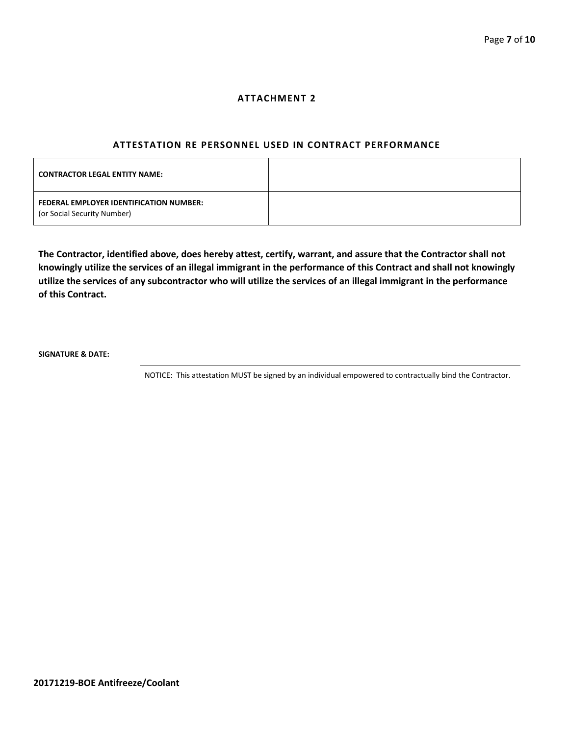#### **ATTACHMENT 2**

#### **ATTESTATION RE PERSONNEL USED IN CONTRACT PERFORMANCE**

| <b>CONTRACTOR LEGAL ENTITY NAME:</b>                                   |  |
|------------------------------------------------------------------------|--|
| FEDERAL EMPLOYER IDENTIFICATION NUMBER:<br>(or Social Security Number) |  |

**The Contractor, identified above, does hereby attest, certify, warrant, and assure that the Contractor shall not knowingly utilize the services of an illegal immigrant in the performance of this Contract and shall not knowingly utilize the services of any subcontractor who will utilize the services of an illegal immigrant in the performance of this Contract.**

**SIGNATURE & DATE:**

NOTICE: This attestation MUST be signed by an individual empowered to contractually bind the Contractor.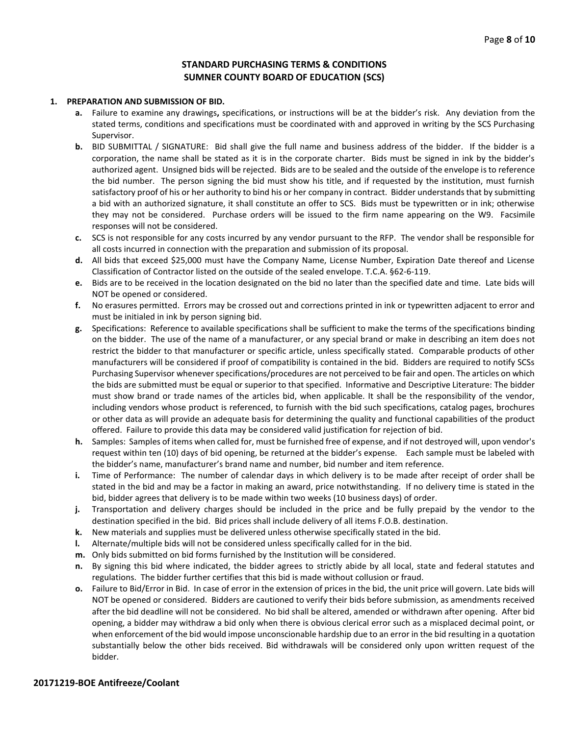## **STANDARD PURCHASING TERMS & CONDITIONS SUMNER COUNTY BOARD OF EDUCATION (SCS)**

#### **1. PREPARATION AND SUBMISSION OF BID.**

- **a.** Failure to examine any drawings**,** specifications, or instructions will be at the bidder's risk. Any deviation from the stated terms, conditions and specifications must be coordinated with and approved in writing by the SCS Purchasing Supervisor.
- **b.** BID SUBMITTAL / SIGNATURE: Bid shall give the full name and business address of the bidder. If the bidder is a corporation, the name shall be stated as it is in the corporate charter. Bids must be signed in ink by the bidder's authorized agent. Unsigned bids will be rejected. Bids are to be sealed and the outside of the envelope is to reference the bid number. The person signing the bid must show his title, and if requested by the institution, must furnish satisfactory proof of his or her authority to bind his or her company in contract. Bidder understands that by submitting a bid with an authorized signature, it shall constitute an offer to SCS. Bids must be typewritten or in ink; otherwise they may not be considered. Purchase orders will be issued to the firm name appearing on the W9. Facsimile responses will not be considered.
- **c.** SCS is not responsible for any costs incurred by any vendor pursuant to the RFP. The vendor shall be responsible for all costs incurred in connection with the preparation and submission of its proposal.
- **d.** All bids that exceed \$25,000 must have the Company Name, License Number, Expiration Date thereof and License Classification of Contractor listed on the outside of the sealed envelope. T.C.A. §62-6-119.
- **e.** Bids are to be received in the location designated on the bid no later than the specified date and time. Late bids will NOT be opened or considered.
- **f.** No erasures permitted. Errors may be crossed out and corrections printed in ink or typewritten adjacent to error and must be initialed in ink by person signing bid.
- **g.** Specifications: Reference to available specifications shall be sufficient to make the terms of the specifications binding on the bidder. The use of the name of a manufacturer, or any special brand or make in describing an item does not restrict the bidder to that manufacturer or specific article, unless specifically stated. Comparable products of other manufacturers will be considered if proof of compatibility is contained in the bid. Bidders are required to notify SCSs Purchasing Supervisor whenever specifications/procedures are not perceived to be fair and open. The articles on which the bids are submitted must be equal or superior to that specified. Informative and Descriptive Literature: The bidder must show brand or trade names of the articles bid, when applicable. It shall be the responsibility of the vendor, including vendors whose product is referenced, to furnish with the bid such specifications, catalog pages, brochures or other data as will provide an adequate basis for determining the quality and functional capabilities of the product offered. Failure to provide this data may be considered valid justification for rejection of bid.
- **h.** Samples: Samples of items when called for, must be furnished free of expense, and if not destroyed will, upon vendor's request within ten (10) days of bid opening, be returned at the bidder's expense. Each sample must be labeled with the bidder's name, manufacturer's brand name and number, bid number and item reference.
- **i.** Time of Performance: The number of calendar days in which delivery is to be made after receipt of order shall be stated in the bid and may be a factor in making an award, price notwithstanding. If no delivery time is stated in the bid, bidder agrees that delivery is to be made within two weeks (10 business days) of order.
- **j.** Transportation and delivery charges should be included in the price and be fully prepaid by the vendor to the destination specified in the bid. Bid prices shall include delivery of all items F.O.B. destination.
- **k.** New materials and supplies must be delivered unless otherwise specifically stated in the bid.
- **l.** Alternate/multiple bids will not be considered unless specifically called for in the bid.
- **m.** Only bids submitted on bid forms furnished by the Institution will be considered.
- **n.** By signing this bid where indicated, the bidder agrees to strictly abide by all local, state and federal statutes and regulations. The bidder further certifies that this bid is made without collusion or fraud.
- **o.** Failure to Bid/Error in Bid. In case of error in the extension of prices in the bid, the unit price will govern. Late bids will NOT be opened or considered. Bidders are cautioned to verify their bids before submission, as amendments received after the bid deadline will not be considered. No bid shall be altered, amended or withdrawn after opening. After bid opening, a bidder may withdraw a bid only when there is obvious clerical error such as a misplaced decimal point, or when enforcement of the bid would impose unconscionable hardship due to an error in the bid resulting in a quotation substantially below the other bids received. Bid withdrawals will be considered only upon written request of the bidder.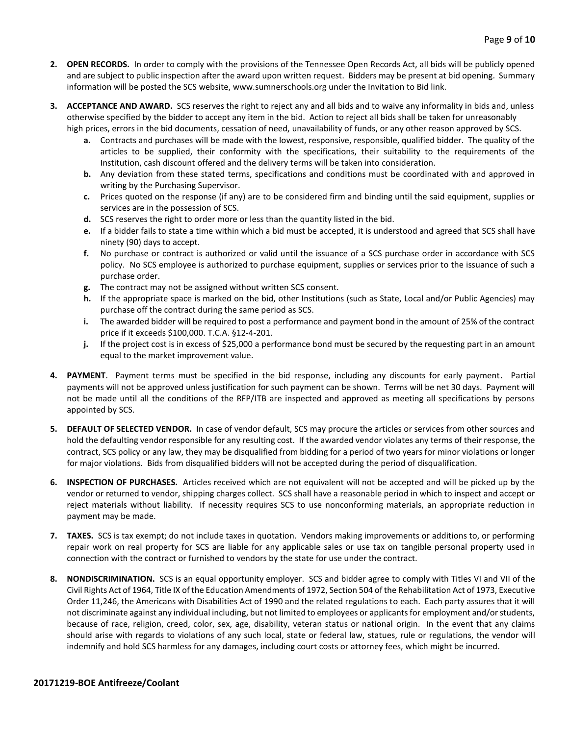- **2. OPEN RECORDS.** In order to comply with the provisions of the Tennessee Open Records Act, all bids will be publicly opened and are subject to public inspection after the award upon written request. Bidders may be present at bid opening. Summary information will be posted the SCS website, www.sumnerschools.org under the Invitation to Bid link.
- **3. ACCEPTANCE AND AWARD.** SCS reserves the right to reject any and all bids and to waive any informality in bids and, unless otherwise specified by the bidder to accept any item in the bid. Action to reject all bids shall be taken for unreasonably high prices, errors in the bid documents, cessation of need, unavailability of funds, or any other reason approved by SCS.
	- **a.** Contracts and purchases will be made with the lowest, responsive, responsible, qualified bidder. The quality of the articles to be supplied, their conformity with the specifications, their suitability to the requirements of the Institution, cash discount offered and the delivery terms will be taken into consideration.
	- **b.** Any deviation from these stated terms, specifications and conditions must be coordinated with and approved in writing by the Purchasing Supervisor.
	- **c.** Prices quoted on the response (if any) are to be considered firm and binding until the said equipment, supplies or services are in the possession of SCS.
	- **d.** SCS reserves the right to order more or less than the quantity listed in the bid.
	- **e.** If a bidder fails to state a time within which a bid must be accepted, it is understood and agreed that SCS shall have ninety (90) days to accept.
	- **f.** No purchase or contract is authorized or valid until the issuance of a SCS purchase order in accordance with SCS policy. No SCS employee is authorized to purchase equipment, supplies or services prior to the issuance of such a purchase order.
	- **g.** The contract may not be assigned without written SCS consent.
	- **h.** If the appropriate space is marked on the bid, other Institutions (such as State, Local and/or Public Agencies) may purchase off the contract during the same period as SCS.
	- **i.** The awarded bidder will be required to post a performance and payment bond in the amount of 25% of the contract price if it exceeds \$100,000. T.C.A. §12-4-201.
	- **j.** If the project cost is in excess of \$25,000 a performance bond must be secured by the requesting part in an amount equal to the market improvement value.
- **4. PAYMENT**. Payment terms must be specified in the bid response, including any discounts for early payment. Partial payments will not be approved unless justification for such payment can be shown. Terms will be net 30 days. Payment will not be made until all the conditions of the RFP/ITB are inspected and approved as meeting all specifications by persons appointed by SCS.
- **5. DEFAULT OF SELECTED VENDOR.** In case of vendor default, SCS may procure the articles or services from other sources and hold the defaulting vendor responsible for any resulting cost. If the awarded vendor violates any terms of their response, the contract, SCS policy or any law, they may be disqualified from bidding for a period of two years for minor violations or longer for major violations. Bids from disqualified bidders will not be accepted during the period of disqualification.
- **6. INSPECTION OF PURCHASES.** Articles received which are not equivalent will not be accepted and will be picked up by the vendor or returned to vendor, shipping charges collect. SCS shall have a reasonable period in which to inspect and accept or reject materials without liability. If necessity requires SCS to use nonconforming materials, an appropriate reduction in payment may be made.
- **7. TAXES.** SCS is tax exempt; do not include taxes in quotation. Vendors making improvements or additions to, or performing repair work on real property for SCS are liable for any applicable sales or use tax on tangible personal property used in connection with the contract or furnished to vendors by the state for use under the contract.
- **8. NONDISCRIMINATION.** SCS is an equal opportunity employer. SCS and bidder agree to comply with Titles VI and VII of the Civil Rights Act of 1964, Title IX of the Education Amendments of 1972, Section 504 of the Rehabilitation Act of 1973, Executive Order 11,246, the Americans with Disabilities Act of 1990 and the related regulations to each. Each party assures that it will not discriminate against any individual including, but not limited to employees or applicants for employment and/or students, because of race, religion, creed, color, sex, age, disability, veteran status or national origin. In the event that any claims should arise with regards to violations of any such local, state or federal law, statues, rule or regulations, the vendor will indemnify and hold SCS harmless for any damages, including court costs or attorney fees, which might be incurred.